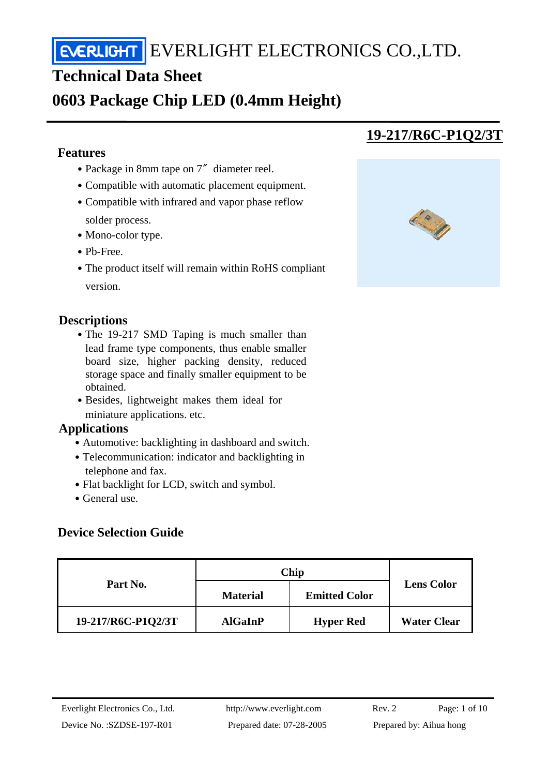## **Technical Data Sheet**

## **0603 Package Chip LED (0.4mm Height)**

#### **Features**

j

- Package in 8mm tape on 7″ diameter reel.
- Compatible with automatic placement equipment.
- Compatible with infrared and vapor phase reflow solder process.
- Mono-color type.
- ․Pb-Free.
- The product itself will remain within RoHS compliant version.

#### **Descriptions**

- The 19-217 SMD Taping is much smaller than lead frame type components, thus enable smaller board size, higher packing density, reduced storage space and finally smaller equipment to be obtained.
- Besides, lightweight makes them ideal for miniature applications. etc.

#### **Applications**

- Automotive: backlighting in dashboard and switch.
- Telecommunication: indicator and backlighting in telephone and fax.
- Flat backlight for LCD, switch and symbol.
- General use.

### **Device Selection Guide**

| Part No.           | Chip            |                      |                    |
|--------------------|-----------------|----------------------|--------------------|
|                    | <b>Material</b> | <b>Emitted Color</b> | <b>Lens Color</b>  |
| 19-217/R6C-P1Q2/3T | <b>AlGaInP</b>  | <b>Hyper Red</b>     | <b>Water Clear</b> |

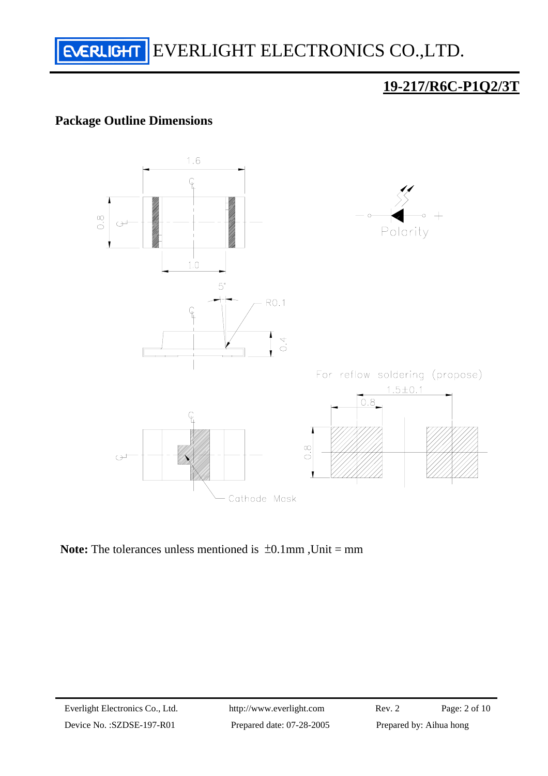

### **Package Outline Dimensions**



**Note:** The tolerances unless mentioned is  $\pm 0.1$ mm, Unit = mm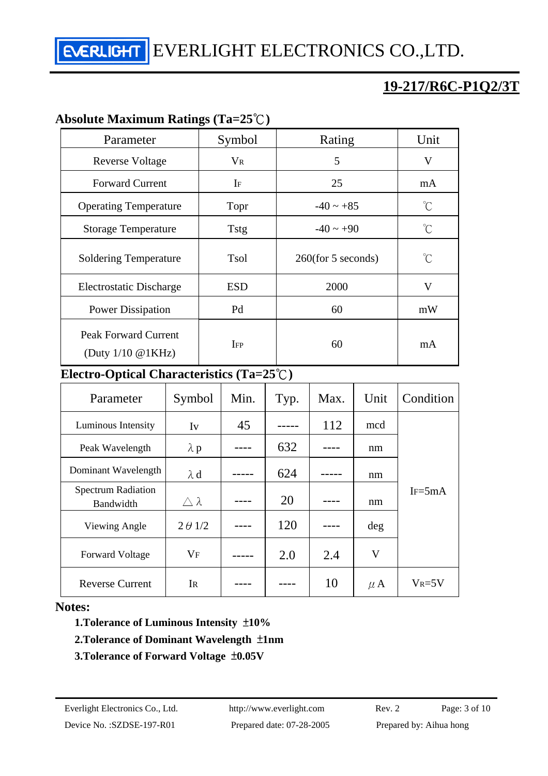## **19-217/R6C-P1Q2/3T**

#### **Absolute Maximum Ratings (Ta=25**℃**)**

| Parameter                                                     | Symbol      | Rating                | Unit                |
|---------------------------------------------------------------|-------------|-----------------------|---------------------|
| <b>Reverse Voltage</b>                                        | $V_{R}$     | 5                     | $\rm V$             |
| <b>Forward Current</b>                                        | $I_F$       | 25                    | mA                  |
| <b>Operating Temperature</b>                                  | Topr        | $-40 \sim +85$        | °C                  |
| <b>Storage Temperature</b>                                    | <b>Tstg</b> | $-40 \sim +90$        | $\int_{0}^{\infty}$ |
| <b>Soldering Temperature</b>                                  | Tsol        | $260$ (for 5 seconds) | $\int_{0}^{\infty}$ |
| Electrostatic Discharge                                       | <b>ESD</b>  | 2000                  | V                   |
| <b>Power Dissipation</b>                                      | Pd          | 60                    | mW                  |
| <b>Peak Forward Current</b><br>(Duty $1/10 \text{ @ } 1KHz$ ) | $I_{FP}$    | 60                    | mA                  |

#### **Electro-Optical Characteristics (Ta=25**℃**)**

| Parameter                              | Symbol           | Min. | Typ. | Max. | Unit    | Condition  |  |
|----------------------------------------|------------------|------|------|------|---------|------------|--|
| Luminous Intensity                     | Iv               | 45   |      | 112  | mcd     |            |  |
| Peak Wavelength                        | $\lambda$ p      |      | 632  |      | nm      |            |  |
| Dominant Wavelength                    | $\lambda$ d      |      | 624  |      | nm      |            |  |
| <b>Spectrum Radiation</b><br>Bandwidth | $\wedge \lambda$ |      | 20   |      | nm      | $IF = 5mA$ |  |
| Viewing Angle                          | $2 \theta$ 1/2   |      | 120  |      | deg     |            |  |
| <b>Forward Voltage</b>                 | $V_{\rm F}$      |      | 2.0  | 2.4  | V       |            |  |
| <b>Reverse Current</b>                 | IR               |      |      | 10   | $\mu$ A | $V_R = 5V$ |  |

#### **Notes:**

 **1.Tolerance of Luminous Intensity** ±**10%** 

#### **2.Tolerance of Dominant Wavelength** ±**1nm**

 **3.Tolerance of Forward Voltage** ±**0.05V**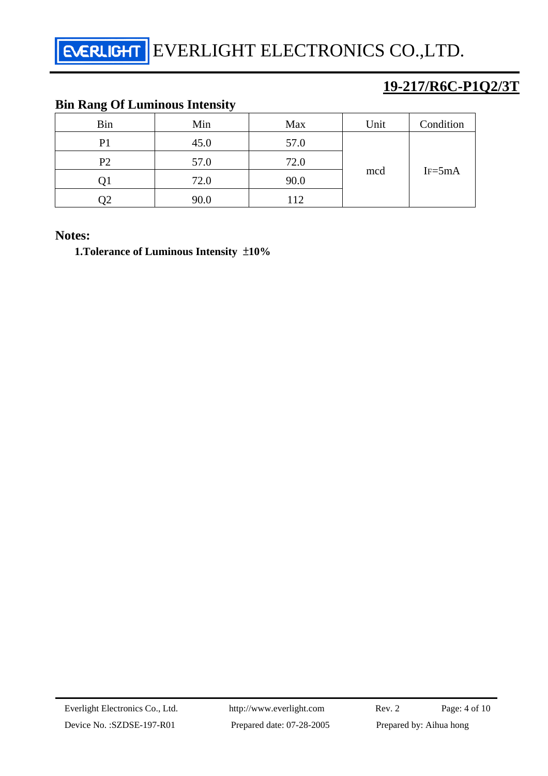## **19-217/R6C-P1Q2/3T**

## **Bin Rang Of Luminous Intensity**

| <b>Bin</b>     | Min  | Max  | Unit | Condition |
|----------------|------|------|------|-----------|
| P <sub>1</sub> | 45.0 | 57.0 | mcd  | $IF=5mA$  |
| P <sub>2</sub> | 57.0 | 72.0 |      |           |
|                | 72.0 | 90.0 |      |           |
| O2             | 90.0 | 112  |      |           |

#### **Notes:**

 **1.Tolerance of Luminous Intensity** ±**10%**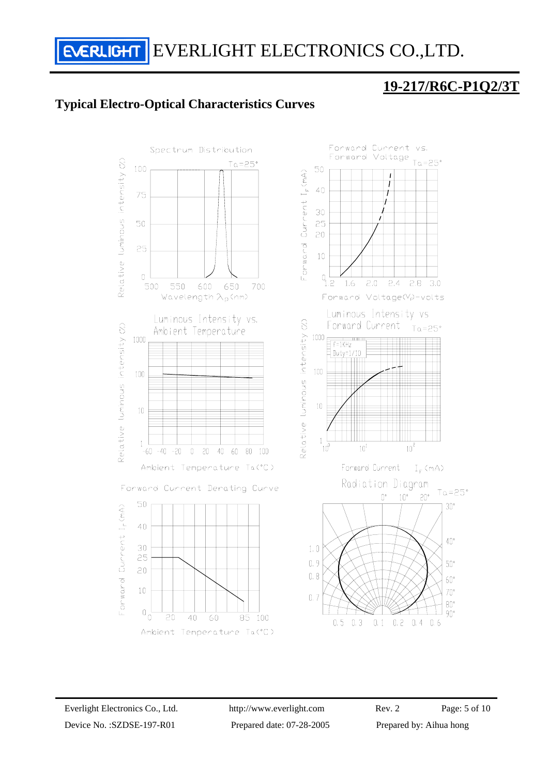## **19-217/R6C-P1Q2/3T**

#### **Typical Electro-Optical Characteristics Curves**

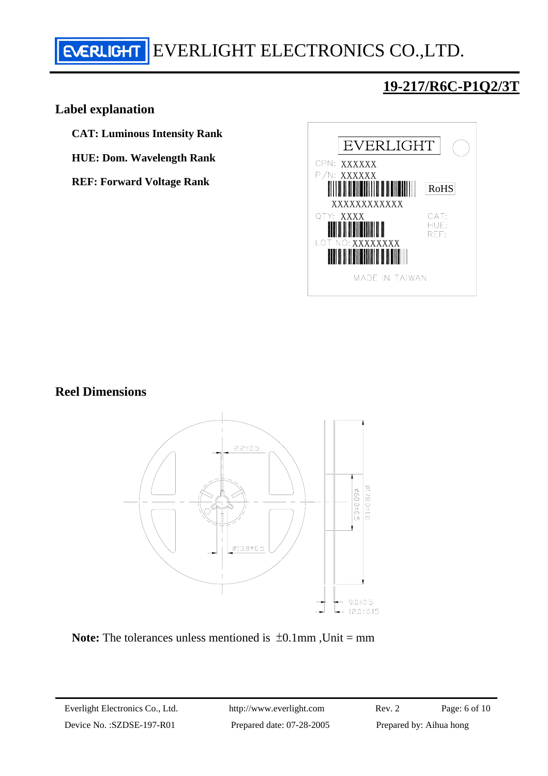#### **Label explanation**

- **CAT: Luminous Intensity Rank**
- **HUE: Dom. Wavelength Rank**
- **REF: Forward Voltage Rank**



#### **Reel Dimensions**



**Note:** The tolerances unless mentioned is  $\pm 0.1$ mm, Unit = mm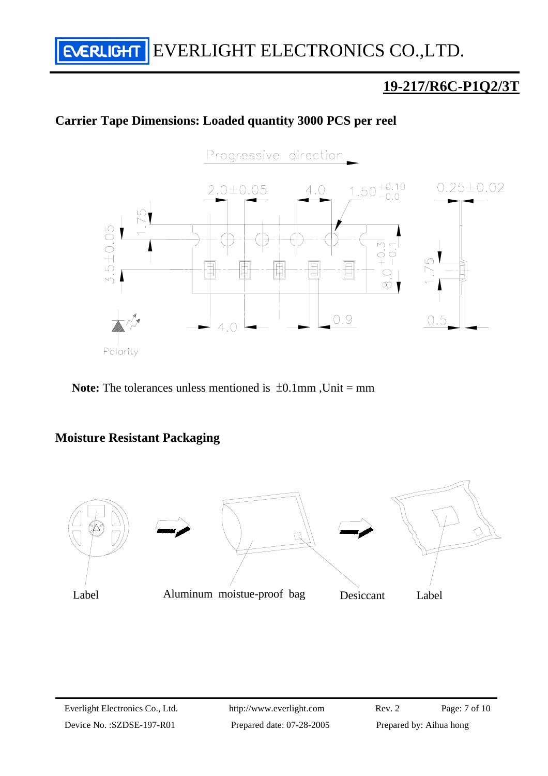## **19-217/R6C-P1Q2/3T**

#### **Carrier Tape Dimensions: Loaded quantity 3000 PCS per reel**



**Note:** The tolerances unless mentioned is ±0.1mm ,Unit = mm

#### **Moisture Resistant Packaging**

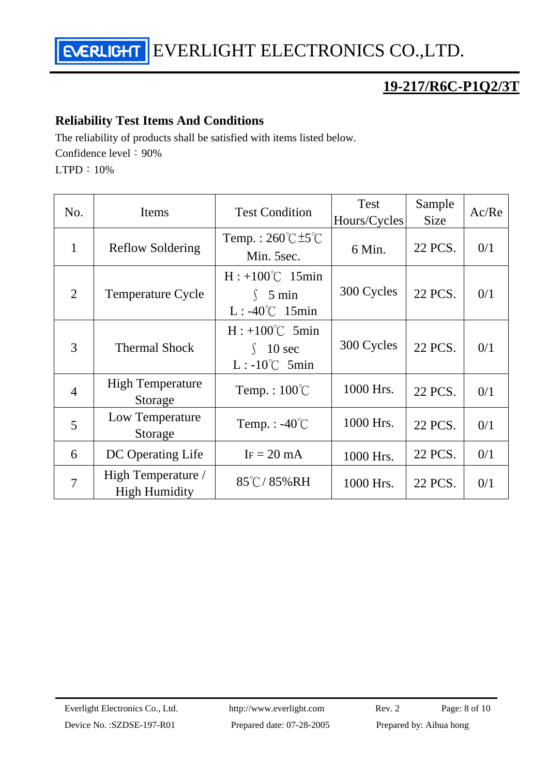## **19-217/R6C-P1Q2/3T**

#### **Reliability Test Items And Conditions**

The reliability of products shall be satisfied with items listed below.

Confidence level: 90%

LTPD:10%

| No.            | Items                                      | <b>Test Condition</b>                                                  | <b>Test</b><br>Hours/Cycles | Sample<br><b>Size</b> | Ac/Re |
|----------------|--------------------------------------------|------------------------------------------------------------------------|-----------------------------|-----------------------|-------|
| $\mathbf{1}$   | <b>Reflow Soldering</b>                    | Temp.: $260^{\circ}$ C $\pm 5^{\circ}$ C<br>Min. 5sec.                 | 6 Min.                      | 22 PCS.               | 0/1   |
| $\overline{2}$ | <b>Temperature Cycle</b>                   | $H: +100^{\circ}C$ 15min<br>$\int$ 5 min<br>$L: -40^{\circ}C$ 15min    | 300 Cycles                  | 22 PCS.               | 0/1   |
| 3              | <b>Thermal Shock</b>                       | $H: +100^{\circ}C$ 5min<br>10 <sub>sec</sub><br>$L: -10^{\circ}C$ 5min | 300 Cycles                  | 22 PCS.               | 0/1   |
| $\overline{4}$ | <b>High Temperature</b><br>Storage         | Temp.: $100^{\circ}$ C                                                 | 1000 Hrs.                   | 22 PCS.               | 0/1   |
| 5              | Low Temperature<br>Storage                 | Temp. : $-40^{\circ}$ C                                                | 1000 Hrs.                   | 22 PCS.               | 0/1   |
| 6              | DC Operating Life                          | $IF = 20 mA$                                                           | 1000 Hrs.                   | 22 PCS.               | 0/1   |
| $\overline{7}$ | High Temperature /<br><b>High Humidity</b> | $85^{\circ}$ C/85%RH                                                   | 1000 Hrs.                   | 22 PCS.               | 0/1   |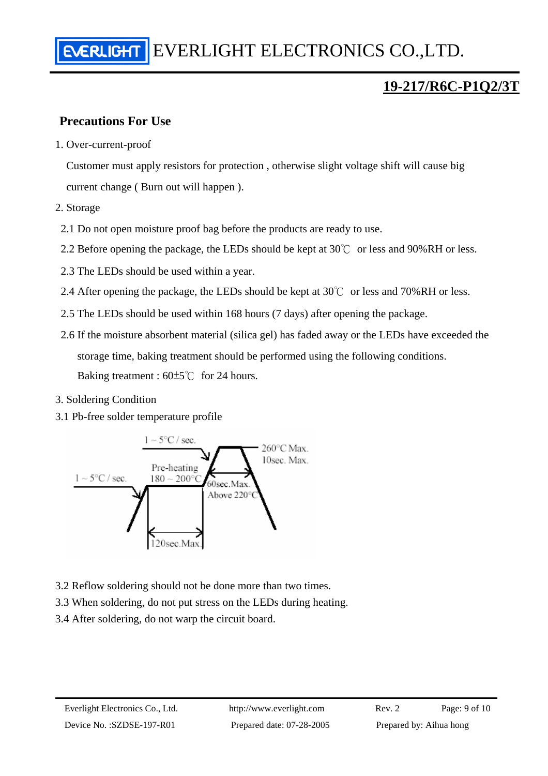#### **Precautions For Use**

1. Over-current-proof

Customer must apply resistors for protection , otherwise slight voltage shift will cause big current change ( Burn out will happen ).

- 2. Storage
	- 2.1 Do not open moisture proof bag before the products are ready to use.
	- 2.2 Before opening the package, the LEDs should be kept at 30℃ or less and 90%RH or less.
	- 2.3 The LEDs should be used within a year.
	- 2.4 After opening the package, the LEDs should be kept at  $30^{\circ}$  or less and  $70\%$  RH or less.
	- 2.5 The LEDs should be used within 168 hours (7 days) after opening the package.
	- 2.6 If the moisture absorbent material (silica gel) has faded away or the LEDs have exceeded the storage time, baking treatment should be performed using the following conditions. Baking treatment : 60±5℃ for 24 hours.
- 3. Soldering Condition
- 3.1 Pb-free solder temperature profile



- 3.2 Reflow soldering should not be done more than two times.
- 3.3 When soldering, do not put stress on the LEDs during heating.
- 3.4 After soldering, do not warp the circuit board.